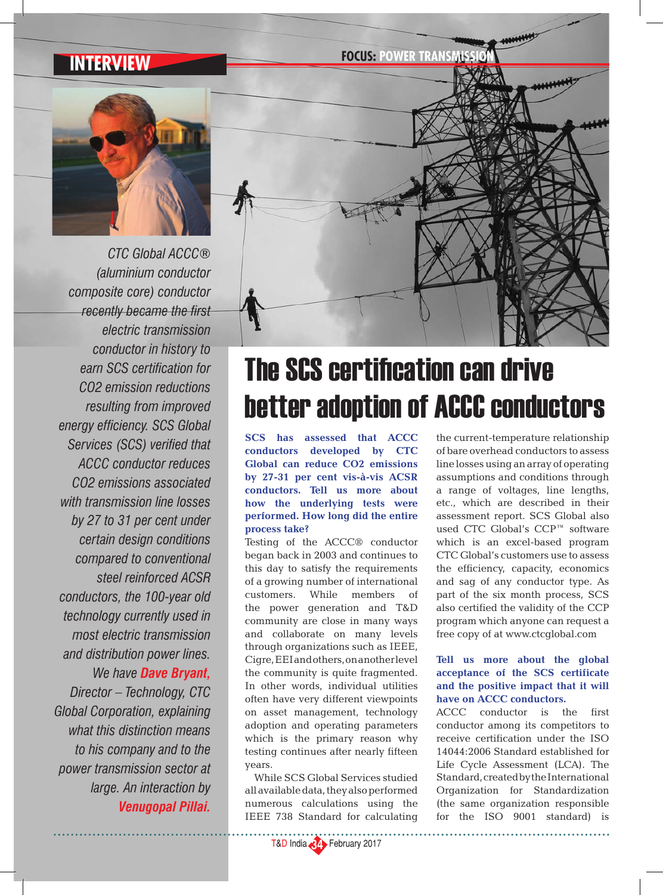*CTC Global ACCC® (aluminium conductor composite core) conductor recently became the first electric transmission conductor in history to earn SCS certification for CO2 emission reductions resulting from improved energy efficiency. SCS Global Services (SCS) verified that ACCC conductor reduces CO2 emissions associated with transmission line losses by 27 to 31 per cent under certain design conditions compared to conventional steel reinforced ACSR conductors, the 100-year old technology currently used in most electric transmission and distribution power lines. We have Dave Bryant, Director – Technology, CTC Global Corporation, explaining what this distinction means to his company and to the power transmission sector at large. An interaction by Venugopal Pillai.*



# The SCS certification can drive better adoption of ACCC conductors

**SCS has assessed that ACCC conductors developed by CTC Global can reduce CO2 emissions by 27-31 per cent vis-à-vis ACSR conductors. Tell us more about how the underlying tests were performed. How long did the entire process take?**

Testing of the ACCC® conductor began back in 2003 and continues to this day to satisfy the requirements of a growing number of international customers. While members of the power generation and T&D community are close in many ways and collaborate on many levels through organizations such as IEEE, Cigre, EEI and others, on another level the community is quite fragmented. In other words, individual utilities often have very different viewpoints on asset management, technology adoption and operating parameters which is the primary reason why testing continues after nearly fifteen years.

While SCS Global Services studied all available data, they also performed numerous calculations using the IEEE 738 Standard for calculating

the current-temperature relationship of bare overhead conductors to assess line losses using an array of operating assumptions and conditions through a range of voltages, line lengths, etc., which are described in their assessment report. SCS Global also used CTC Global's CCP™ software which is an excel-based program CTC Global's customers use to assess the efficiency, capacity, economics and sag of any conductor type. As part of the six month process, SCS also certified the validity of the CCP program which anyone can request a free copy of at www.ctcglobal.com

## **Tell us more about the global acceptance of the SCS certificate and the positive impact that it will have on ACCC conductors.**

ACCC conductor is the first conductor among its competitors to receive certification under the ISO 14044:2006 Standard established for Life Cycle Assessment (LCA). The Standard, created by the International Organization for Standardization (the same organization responsible for the ISO 9001 standard) is